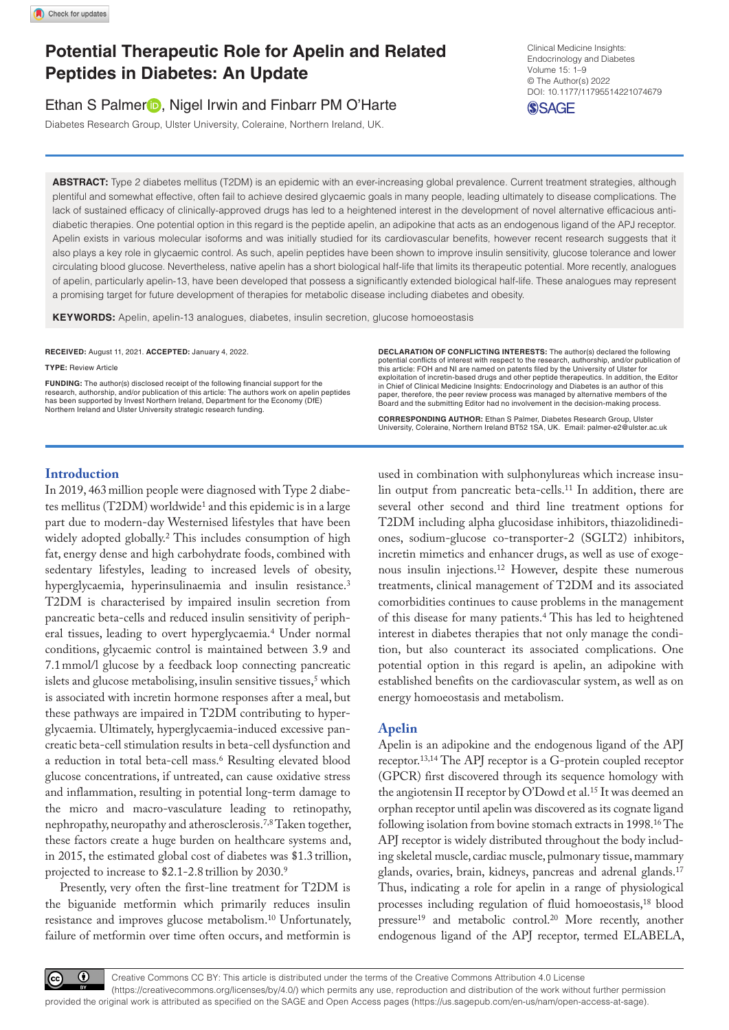# **Potential Therapeutic Role for Apelin and Related Peptides in Diabetes: An Update**

## Ethan S Palmer<sup>1</sup>, Nigel Irwin and Finbarr PM O'Harte

Diabetes Research Group, Ulster University, Coleraine, Northern Ireland, UK.

https://doi.org/10.1177/11795514221074679 DOI: 10.1177/11795514221074679 Clinical Medicine Insights: Endocrinology and Diabetes Volume 15: 1–9 © The Author(s) 2022

**SSAGE** 

**ABSTRACT:** Type 2 diabetes mellitus (T2DM) is an epidemic with an ever-increasing global prevalence. Current treatment strategies, although plentiful and somewhat effective, often fail to achieve desired glycaemic goals in many people, leading ultimately to disease complications. The lack of sustained efficacy of clinically-approved drugs has led to a heightened interest in the development of novel alternative efficacious antidiabetic therapies. One potential option in this regard is the peptide apelin, an adipokine that acts as an endogenous ligand of the APJ receptor. Apelin exists in various molecular isoforms and was initially studied for its cardiovascular benefits, however recent research suggests that it also plays a key role in glycaemic control. As such, apelin peptides have been shown to improve insulin sensitivity, glucose tolerance and lower circulating blood glucose. Nevertheless, native apelin has a short biological half-life that limits its therapeutic potential. More recently, analogues of apelin, particularly apelin-13, have been developed that possess a significantly extended biological half-life. These analogues may represent a promising target for future development of therapies for metabolic disease including diabetes and obesity.

**Keywords:** Apelin, apelin-13 analogues, diabetes, insulin secretion, glucose homoeostasis

**RECEIVED:** August 11, 2021. **ACCEPTED:** January 4, 2022.

**TYPE:** Review Article

**FUNDING:** The author(s) disclosed receipt of the following financial support for the research, authorship, and/or publication of this article: The authors work on apelin peptides has been supported by Invest Northern Ireland, Department for the Economy (DfE) Northern Ireland and Ulster University strategic research funding.

**Declaration of conflicting interests:** The author(s) declared the following potential conflicts of interest with respect to the research, authorship, and/or publication of this article: FOH and NI are named on patents filed by the University of Ulster for exploitation of incretin-based drugs and other peptide therapeutics. In addition, the Editor in Chief of Clinical Medicine Insights: Endocrinology and Diabetes is an author of this paper, therefore, the peer review process was managed by alternative members of the Board and the submitting Editor had no involvement in the decision-making process.

**CORRESPONDING AUTHOR:** Ethan S Palmer, Diabetes Research Group, Ulster University, Coleraine, Northern Ireland BT52 1SA, UK. Email: [palmer-e2@ulster.ac.uk](mailto:palmer-e2@ulster.ac.uk) 

## **Introduction**

In 2019, 463million people were diagnosed with Type 2 diabetes mellitus (T2DM) worldwide<sup>1</sup> and this epidemic is in a large part due to modern-day Westernised lifestyles that have been widely adopted globally.<sup>2</sup> This includes consumption of high fat, energy dense and high carbohydrate foods, combined with sedentary lifestyles, leading to increased levels of obesity, hyperglycaemia, hyperinsulinaemia and insulin resistance.3 T2DM is characterised by impaired insulin secretion from pancreatic beta-cells and reduced insulin sensitivity of peripheral tissues, leading to overt hyperglycaemia.4 Under normal conditions, glycaemic control is maintained between 3.9 and 7.1mmol/l glucose by a feedback loop connecting pancreatic islets and glucose metabolising, insulin sensitive tissues,<sup>5</sup> which is associated with incretin hormone responses after a meal, but these pathways are impaired in T2DM contributing to hyperglycaemia. Ultimately, hyperglycaemia-induced excessive pancreatic beta-cell stimulation results in beta-cell dysfunction and a reduction in total beta-cell mass.6 Resulting elevated blood glucose concentrations, if untreated, can cause oxidative stress and inflammation, resulting in potential long-term damage to the micro and macro-vasculature leading to retinopathy, nephropathy, neuropathy and atherosclerosis.7,8 Taken together, these factors create a huge burden on healthcare systems and, in 2015, the estimated global cost of diabetes was \$1.3 trillion, projected to increase to \$2.1-2.8 trillion by 2030.9

Presently, very often the first-line treatment for T2DM is the biguanide metformin which primarily reduces insulin resistance and improves glucose metabolism.10 Unfortunately, failure of metformin over time often occurs, and metformin is

used in combination with sulphonylureas which increase insulin output from pancreatic beta-cells.11 In addition, there are several other second and third line treatment options for T2DM including alpha glucosidase inhibitors, thiazolidinediones, sodium-glucose co-transporter-2 (SGLT2) inhibitors, incretin mimetics and enhancer drugs, as well as use of exogenous insulin injections.12 However, despite these numerous treatments, clinical management of T2DM and its associated comorbidities continues to cause problems in the management of this disease for many patients.4 This has led to heightened interest in diabetes therapies that not only manage the condition, but also counteract its associated complications. One potential option in this regard is apelin, an adipokine with established benefits on the cardiovascular system, as well as on energy homoeostasis and metabolism.

## **Apelin**

Apelin is an adipokine and the endogenous ligand of the APJ receptor.13,14 The APJ receptor is a G-protein coupled receptor (GPCR) first discovered through its sequence homology with the angiotensin II receptor by O'Dowd et al.<sup>15</sup> It was deemed an orphan receptor until apelin was discovered as its cognate ligand following isolation from bovine stomach extracts in 1998.16 The APJ receptor is widely distributed throughout the body including skeletal muscle, cardiac muscle, pulmonary tissue, mammary glands, ovaries, brain, kidneys, pancreas and adrenal glands.17 Thus, indicating a role for apelin in a range of physiological processes including regulation of fluid homoeostasis,18 blood pressure<sup>19</sup> and metabolic control.<sup>20</sup> More recently, another endogenous ligand of the APJ receptor, termed ELABELA,

 $\odot$ 

Creative Commons CC BY: This article is distributed under the terms of the Creative Commons Attribution 4.0 License (https://creativecommons.org/licenses/by/4.0/) which permits any use, reproduction and distribution of the work without further permission provided the original work is attributed as specified on the SAGE and Open Access pages (https://us.sagepub.com/en-us/nam/open-access-at-sage).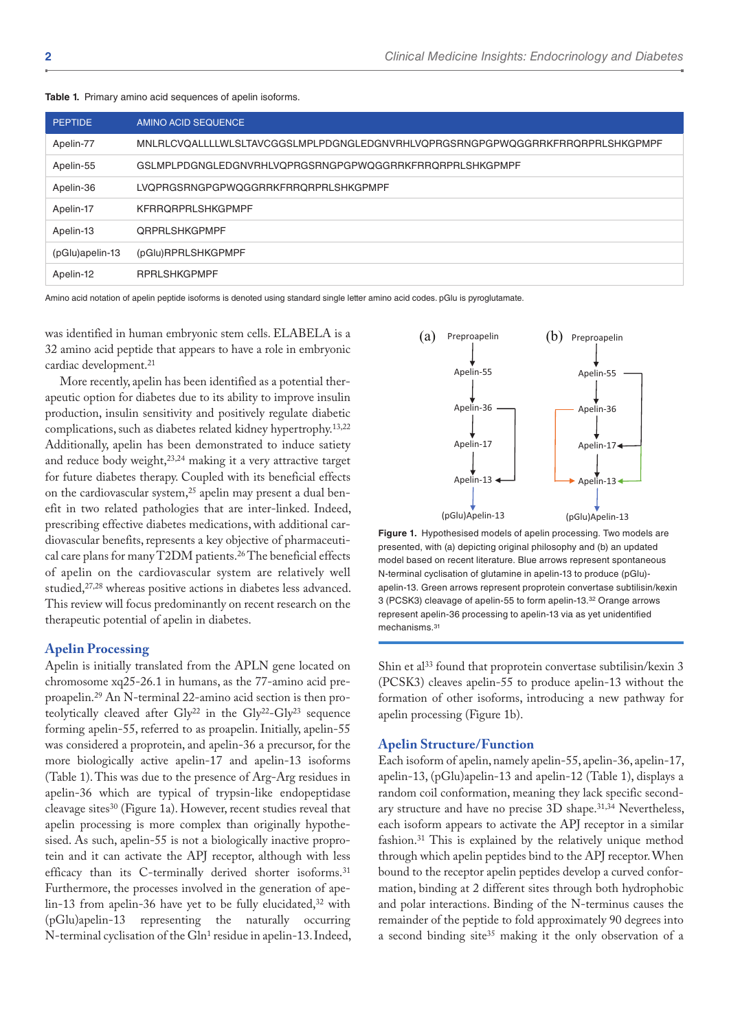| <b>PEPTIDE</b>  | AMINO ACID SEQUENCE                                                           |
|-----------------|-------------------------------------------------------------------------------|
| Apelin-77       | MNLRLCVQALLLLWLSLTAVCGGSLMPLPDGNGLEDGNVRHLVQPRGSRNGPGPWQGGRRKFRRQRPRLSHKGPMPF |
| Apelin-55       | GSLMPLPDGNGLEDGNVRHLVQPRGSRNGPGPWQGGRRKFRRQRPRLSHKGPMPF                       |
| Apelin-36       | LVQPRGSRNGPGPWQGGRRKFRRQRPRLSHKGPMPF                                          |
| Apelin-17       | <b>KFRRORPRLSHKGPMPF</b>                                                      |
| Apelin-13       | <b>ORPRLSHKGPMPF</b>                                                          |
| (pGlu)apelin-13 | (pGlu)RPRLSHKGPMPF                                                            |
| Apelin-12       | <b>RPRLSHKGPMPF</b>                                                           |

**Table 1.** Primary amino acid sequences of apelin isoforms.

Amino acid notation of apelin peptide isoforms is denoted using standard single letter amino acid codes. pGlu is pyroglutamate.

was identified in human embryonic stem cells. ELABELA is a 32 amino acid peptide that appears to have a role in embryonic cardiac development.21

More recently, apelin has been identified as a potential therapeutic option for diabetes due to its ability to improve insulin production, insulin sensitivity and positively regulate diabetic complications, such as diabetes related kidney hypertrophy.13,22 Additionally, apelin has been demonstrated to induce satiety and reduce body weight,23,24 making it a very attractive target for future diabetes therapy. Coupled with its beneficial effects on the cardiovascular system,<sup>25</sup> apelin may present a dual benefit in two related pathologies that are inter-linked. Indeed, prescribing effective diabetes medications, with additional cardiovascular benefits, represents a key objective of pharmaceutical care plans for many T2DM patients.26 The beneficial effects of apelin on the cardiovascular system are relatively well studied,<sup>27,28</sup> whereas positive actions in diabetes less advanced. This review will focus predominantly on recent research on the therapeutic potential of apelin in diabetes.

#### **Apelin Processing**

Apelin is initially translated from the APLN gene located on chromosome xq25-26.1 in humans, as the 77-amino acid preproapelin.29 An N-terminal 22-amino acid section is then proteolytically cleaved after Gly<sup>22</sup> in the Gly<sup>22</sup>-Gly<sup>23</sup> sequence forming apelin-55, referred to as proapelin. Initially, apelin-55 was considered a proprotein, and apelin-36 a precursor, for the more biologically active apelin-17 and apelin-13 isoforms (Table 1). This was due to the presence of Arg-Arg residues in apelin-36 which are typical of trypsin-like endopeptidase cleavage sites30 (Figure 1a). However, recent studies reveal that apelin processing is more complex than originally hypothesised. As such, apelin-55 is not a biologically inactive proprotein and it can activate the APJ receptor, although with less efficacy than its C-terminally derived shorter isoforms.<sup>31</sup> Furthermore, the processes involved in the generation of apelin-13 from apelin-36 have yet to be fully elucidated,<sup>32</sup> with (pGlu)apelin-13 representing the naturally occurring N-terminal cyclisation of the Gln<sup>1</sup> residue in apelin-13. Indeed,



**Figure 1.** Hypothesised models of apelin processing. Two models are presented, with (a) depicting original philosophy and (b) an updated model based on recent literature. Blue arrows represent spontaneous N-terminal cyclisation of glutamine in apelin-13 to produce (pGlu) apelin-13. Green arrows represent proprotein convertase subtilisin/kexin 3 (PCSK3) cleavage of apelin-55 to form apelin-13.32 Orange arrows represent apelin-36 processing to apelin-13 via as yet unidentified mechanisms.31

Shin et al<sup>33</sup> found that proprotein convertase subtilisin/kexin 3 (PCSK3) cleaves apelin-55 to produce apelin-13 without the formation of other isoforms, introducing a new pathway for apelin processing (Figure 1b).

#### **Apelin Structure/Function**

Each isoform of apelin, namely apelin-55, apelin-36, apelin-17, apelin-13, (pGlu)apelin-13 and apelin-12 (Table 1), displays a random coil conformation, meaning they lack specific secondary structure and have no precise 3D shape.<sup>31,34</sup> Nevertheless, each isoform appears to activate the APJ receptor in a similar fashion.31 This is explained by the relatively unique method through which apelin peptides bind to the APJ receptor. When bound to the receptor apelin peptides develop a curved conformation, binding at 2 different sites through both hydrophobic and polar interactions. Binding of the N-terminus causes the remainder of the peptide to fold approximately 90 degrees into a second binding site<sup>35</sup> making it the only observation of a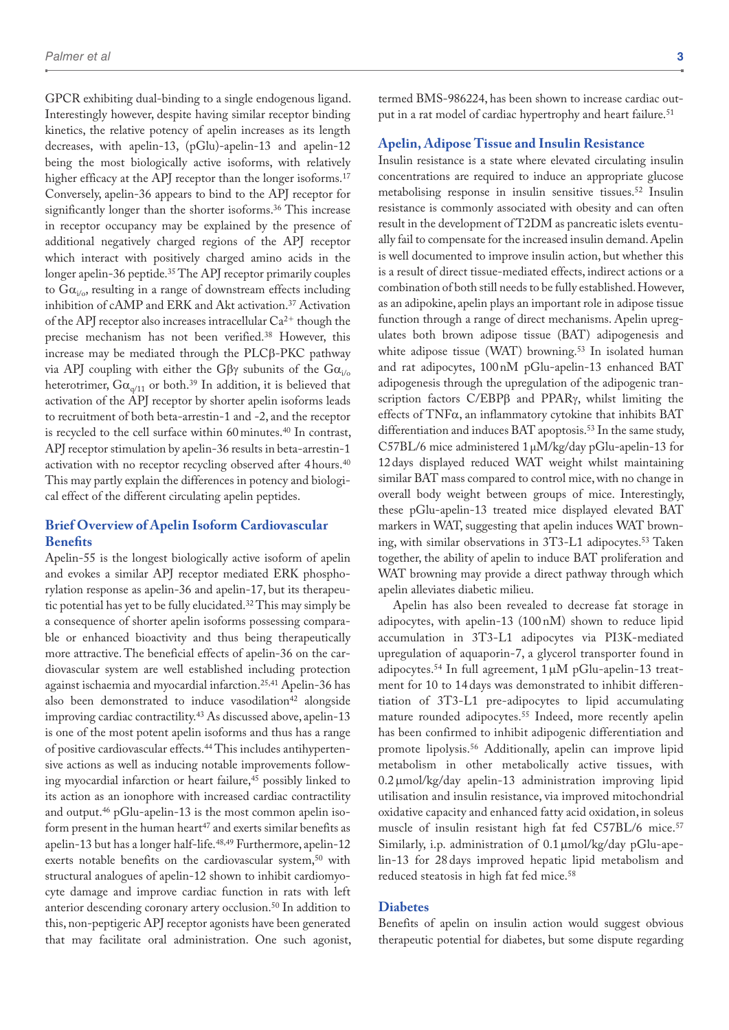GPCR exhibiting dual-binding to a single endogenous ligand. Interestingly however, despite having similar receptor binding kinetics, the relative potency of apelin increases as its length decreases, with apelin-13, (pGlu)-apelin-13 and apelin-12 being the most biologically active isoforms, with relatively higher efficacy at the APJ receptor than the longer isoforms.<sup>17</sup> Conversely, apelin-36 appears to bind to the APJ receptor for significantly longer than the shorter isoforms.<sup>36</sup> This increase in receptor occupancy may be explained by the presence of additional negatively charged regions of the APJ receptor which interact with positively charged amino acids in the longer apelin-36 peptide.35 The APJ receptor primarily couples to  $Ga_{i\alpha}$ , resulting in a range of downstream effects including inhibition of cAMP and ERK and Akt activation.<sup>37</sup> Activation of the APJ receptor also increases intracellular  $Ca^{2+}$  though the precise mechanism has not been verified.38 However, this increase may be mediated through the PLCβ-PKC pathway via APJ coupling with either the Gβγ subunits of the  $Ga$ <sub>i/o</sub> heterotrimer,  $Ga_{\alpha/11}$  or both.<sup>39</sup> In addition, it is believed that activation of the APJ receptor by shorter apelin isoforms leads to recruitment of both beta-arrestin-1 and -2, and the receptor is recycled to the cell surface within 60minutes.40 In contrast, APJ receptor stimulation by apelin-36 results in beta-arrestin-1 activation with no receptor recycling observed after 4hours.40 This may partly explain the differences in potency and biological effect of the different circulating apelin peptides.

## **Brief Overview of Apelin Isoform Cardiovascular Benefits**

Apelin-55 is the longest biologically active isoform of apelin and evokes a similar APJ receptor mediated ERK phosphorylation response as apelin-36 and apelin-17, but its therapeutic potential has yet to be fully elucidated.32 This may simply be a consequence of shorter apelin isoforms possessing comparable or enhanced bioactivity and thus being therapeutically more attractive. The beneficial effects of apelin-36 on the cardiovascular system are well established including protection against ischaemia and myocardial infarction.25,41 Apelin-36 has also been demonstrated to induce vasodilation<sup>42</sup> alongside improving cardiac contractility.43 As discussed above, apelin-13 is one of the most potent apelin isoforms and thus has a range of positive cardiovascular effects.44 This includes antihypertensive actions as well as inducing notable improvements following myocardial infarction or heart failure,<sup>45</sup> possibly linked to its action as an ionophore with increased cardiac contractility and output.46 pGlu-apelin-13 is the most common apelin isoform present in the human heart<sup>47</sup> and exerts similar benefits as apelin-13 but has a longer half-life.48,49 Furthermore, apelin-12 exerts notable benefits on the cardiovascular system,<sup>50</sup> with structural analogues of apelin-12 shown to inhibit cardiomyocyte damage and improve cardiac function in rats with left anterior descending coronary artery occlusion.50 In addition to this, non-peptigeric APJ receptor agonists have been generated that may facilitate oral administration. One such agonist,

termed BMS-986224, has been shown to increase cardiac output in a rat model of cardiac hypertrophy and heart failure.<sup>51</sup>

#### **Apelin, Adipose Tissue and Insulin Resistance**

Insulin resistance is a state where elevated circulating insulin concentrations are required to induce an appropriate glucose metabolising response in insulin sensitive tissues.52 Insulin resistance is commonly associated with obesity and can often result in the development of T2DM as pancreatic islets eventually fail to compensate for the increased insulin demand. Apelin is well documented to improve insulin action, but whether this is a result of direct tissue-mediated effects, indirect actions or a combination of both still needs to be fully established. However, as an adipokine, apelin plays an important role in adipose tissue function through a range of direct mechanisms. Apelin upregulates both brown adipose tissue (BAT) adipogenesis and white adipose tissue (WAT) browning.<sup>53</sup> In isolated human and rat adipocytes, 100nM pGlu-apelin-13 enhanced BAT adipogenesis through the upregulation of the adipogenic transcription factors C/EBPβ and PPARγ, whilst limiting the effects of  $TNF\alpha$ , an inflammatory cytokine that inhibits BAT differentiation and induces BAT apoptosis.<sup>53</sup> In the same study, C57BL/6 mice administered 1µM/kg/day pGlu-apelin-13 for 12days displayed reduced WAT weight whilst maintaining similar BAT mass compared to control mice, with no change in overall body weight between groups of mice. Interestingly, these pGlu-apelin-13 treated mice displayed elevated BAT markers in WAT, suggesting that apelin induces WAT browning, with similar observations in 3T3-L1 adipocytes.<sup>53</sup> Taken together, the ability of apelin to induce BAT proliferation and WAT browning may provide a direct pathway through which apelin alleviates diabetic milieu.

Apelin has also been revealed to decrease fat storage in adipocytes, with apelin-13 (100 nM) shown to reduce lipid accumulation in 3T3-L1 adipocytes via PI3K-mediated upregulation of aquaporin-7, a glycerol transporter found in adipocytes.54 In full agreement, 1μM pGlu-apelin-13 treatment for 10 to 14 days was demonstrated to inhibit differentiation of 3T3-L1 pre-adipocytes to lipid accumulating mature rounded adipocytes.<sup>55</sup> Indeed, more recently apelin has been confirmed to inhibit adipogenic differentiation and promote lipolysis.56 Additionally, apelin can improve lipid metabolism in other metabolically active tissues, with 0.2 μmol/kg/day apelin-13 administration improving lipid utilisation and insulin resistance, via improved mitochondrial oxidative capacity and enhanced fatty acid oxidation, in soleus muscle of insulin resistant high fat fed C57BL/6 mice.<sup>57</sup> Similarly, i.p. administration of 0.1 μmol/kg/day pGlu-apelin-13 for 28 days improved hepatic lipid metabolism and reduced steatosis in high fat fed mice.<sup>58</sup>

### **Diabetes**

Benefits of apelin on insulin action would suggest obvious therapeutic potential for diabetes, but some dispute regarding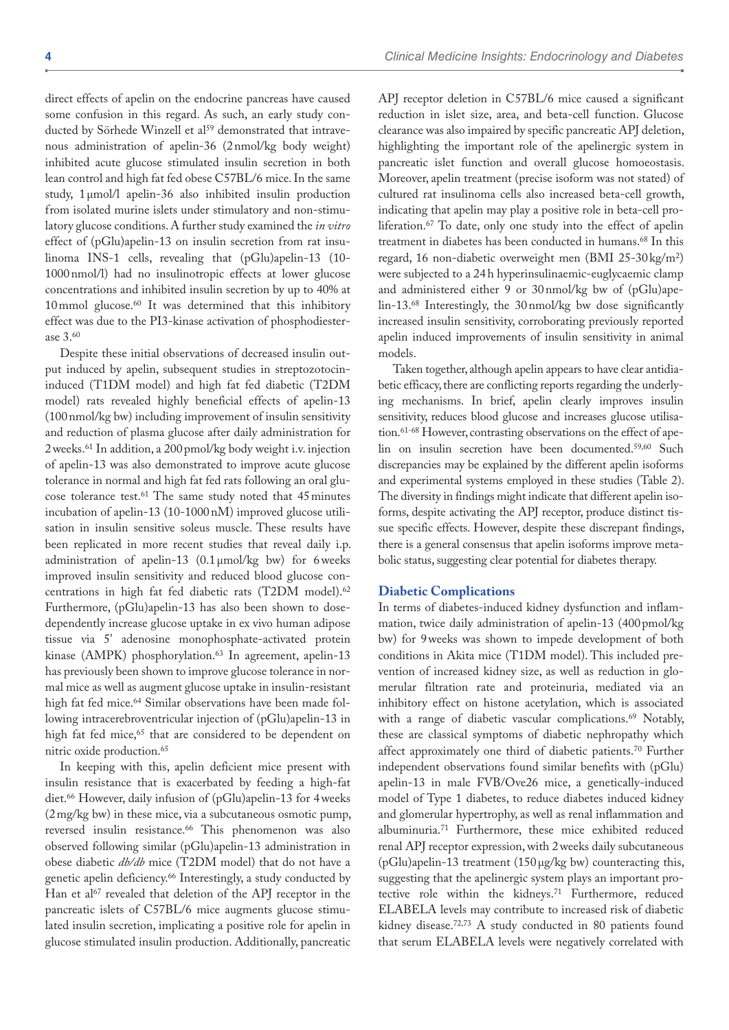direct effects of apelin on the endocrine pancreas have caused some confusion in this regard. As such, an early study conducted by Sörhede Winzell et al<sup>59</sup> demonstrated that intravenous administration of apelin-36 (2nmol/kg body weight) inhibited acute glucose stimulated insulin secretion in both lean control and high fat fed obese C57BL/6 mice. In the same study, 1µmol/l apelin-36 also inhibited insulin production from isolated murine islets under stimulatory and non-stimulatory glucose conditions. A further study examined the *in vitro* effect of (pGlu)apelin-13 on insulin secretion from rat insulinoma INS-1 cells, revealing that (pGlu)apelin-13 (10- 1000nmol/l) had no insulinotropic effects at lower glucose concentrations and inhibited insulin secretion by up to 40% at 10mmol glucose.60 It was determined that this inhibitory effect was due to the PI3-kinase activation of phosphodiesterase 3.60

Despite these initial observations of decreased insulin output induced by apelin, subsequent studies in streptozotocininduced (T1DM model) and high fat fed diabetic (T2DM model) rats revealed highly beneficial effects of apelin-13 (100nmol/kg bw) including improvement of insulin sensitivity and reduction of plasma glucose after daily administration for 2weeks.61 In addition, a 200pmol/kg body weight i.v. injection of apelin-13 was also demonstrated to improve acute glucose tolerance in normal and high fat fed rats following an oral glucose tolerance test.61 The same study noted that 45minutes incubation of apelin-13 (10-1000nM) improved glucose utilisation in insulin sensitive soleus muscle. These results have been replicated in more recent studies that reveal daily i.p. administration of apelin-13 (0.1µmol/kg bw) for 6weeks improved insulin sensitivity and reduced blood glucose concentrations in high fat fed diabetic rats (T2DM model).62 Furthermore, (pGlu)apelin-13 has also been shown to dosedependently increase glucose uptake in ex vivo human adipose tissue via 5' adenosine monophosphate-activated protein kinase (AMPK) phosphorylation.<sup>63</sup> In agreement, apelin-13 has previously been shown to improve glucose tolerance in normal mice as well as augment glucose uptake in insulin-resistant high fat fed mice.<sup>64</sup> Similar observations have been made following intracerebroventricular injection of (pGlu)apelin-13 in high fat fed mice,<sup>65</sup> that are considered to be dependent on nitric oxide production.65

In keeping with this, apelin deficient mice present with insulin resistance that is exacerbated by feeding a high-fat diet.66 However, daily infusion of (pGlu)apelin-13 for 4weeks (2mg/kg bw) in these mice, via a subcutaneous osmotic pump, reversed insulin resistance.66 This phenomenon was also observed following similar (pGlu)apelin-13 administration in obese diabetic *db/db* mice (T2DM model) that do not have a genetic apelin deficiency.66 Interestingly, a study conducted by Han et al<sup>67</sup> revealed that deletion of the APJ receptor in the pancreatic islets of C57BL/6 mice augments glucose stimulated insulin secretion, implicating a positive role for apelin in glucose stimulated insulin production. Additionally, pancreatic

APJ receptor deletion in C57BL/6 mice caused a significant reduction in islet size, area, and beta-cell function. Glucose clearance was also impaired by specific pancreatic APJ deletion, highlighting the important role of the apelinergic system in pancreatic islet function and overall glucose homoeostasis. Moreover, apelin treatment (precise isoform was not stated) of cultured rat insulinoma cells also increased beta-cell growth, indicating that apelin may play a positive role in beta-cell proliferation.67 To date, only one study into the effect of apelin treatment in diabetes has been conducted in humans.68 In this regard, 16 non-diabetic overweight men (BMI 25-30 kg/m2) were subjected to a 24h hyperinsulinaemic-euglycaemic clamp and administered either 9 or 30nmol/kg bw of (pGlu)apelin-13.68 Interestingly, the 30nmol/kg bw dose significantly increased insulin sensitivity, corroborating previously reported apelin induced improvements of insulin sensitivity in animal models.

Taken together, although apelin appears to have clear antidiabetic efficacy, there are conflicting reports regarding the underlying mechanisms. In brief, apelin clearly improves insulin sensitivity, reduces blood glucose and increases glucose utilisation.<sup>61-68</sup> However, contrasting observations on the effect of apelin on insulin secretion have been documented.59,60 Such discrepancies may be explained by the different apelin isoforms and experimental systems employed in these studies (Table 2). The diversity in findings might indicate that different apelin isoforms, despite activating the APJ receptor, produce distinct tissue specific effects. However, despite these discrepant findings, there is a general consensus that apelin isoforms improve metabolic status, suggesting clear potential for diabetes therapy.

#### **Diabetic Complications**

In terms of diabetes-induced kidney dysfunction and inflammation, twice daily administration of apelin-13 (400 pmol/kg) bw) for 9weeks was shown to impede development of both conditions in Akita mice (T1DM model). This included prevention of increased kidney size, as well as reduction in glomerular filtration rate and proteinuria, mediated via an inhibitory effect on histone acetylation, which is associated with a range of diabetic vascular complications.<sup>69</sup> Notably, these are classical symptoms of diabetic nephropathy which affect approximately one third of diabetic patients.<sup>70</sup> Further independent observations found similar benefits with (pGlu) apelin-13 in male FVB/Ove26 mice, a genetically-induced model of Type 1 diabetes, to reduce diabetes induced kidney and glomerular hypertrophy, as well as renal inflammation and albuminuria.71 Furthermore, these mice exhibited reduced renal APJ receptor expression, with 2weeks daily subcutaneous (pGlu)apelin-13 treatment (150µg/kg bw) counteracting this, suggesting that the apelinergic system plays an important protective role within the kidneys.71 Furthermore, reduced ELABELA levels may contribute to increased risk of diabetic kidney disease.72,73 A study conducted in 80 patients found that serum ELABELA levels were negatively correlated with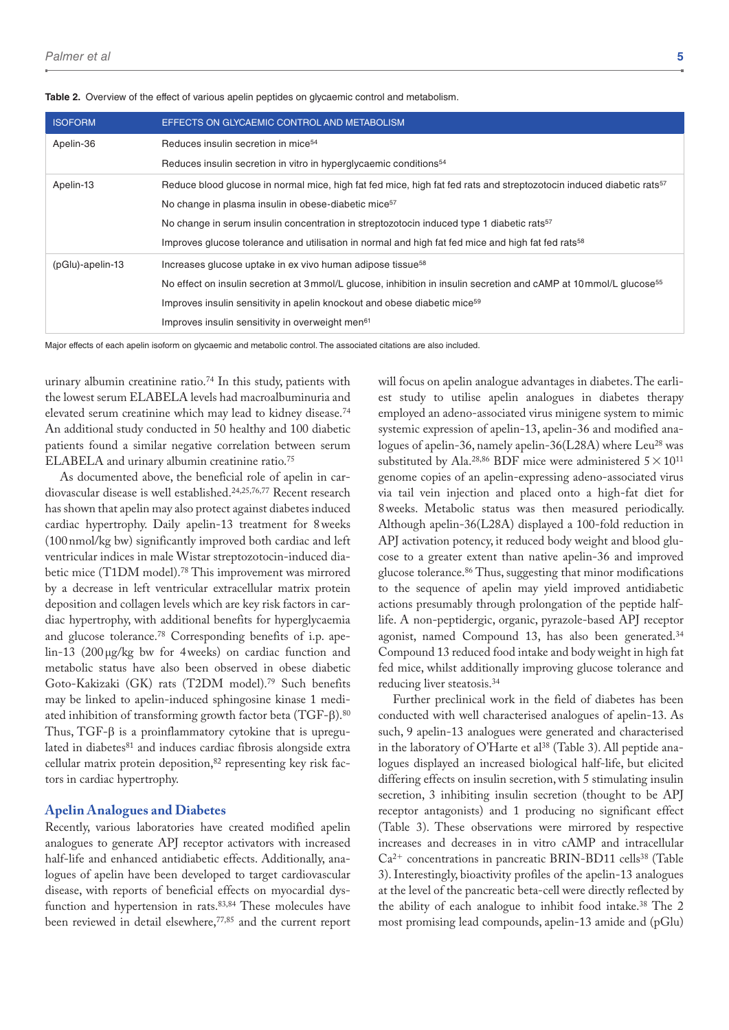| <b>ISOFORM</b>   | EFFECTS ON GLYCAEMIC CONTROL AND METABOLISM                                                                                      |
|------------------|----------------------------------------------------------------------------------------------------------------------------------|
| Apelin-36        | Reduces insulin secretion in mice <sup>54</sup>                                                                                  |
|                  | Reduces insulin secretion in vitro in hyperglycaemic conditions <sup>54</sup>                                                    |
| Apelin-13        | Reduce blood glucose in normal mice, high fat fed mice, high fat fed rats and streptozotocin induced diabetic rats <sup>57</sup> |
|                  | No change in plasma insulin in obese-diabetic mice <sup>57</sup>                                                                 |
|                  | No change in serum insulin concentration in streptozotocin induced type 1 diabetic rats <sup>57</sup>                            |
|                  | Improves glucose tolerance and utilisation in normal and high fat fed mice and high fat fed rats <sup>58</sup>                   |
| (pGlu)-apelin-13 | Increases glucose uptake in ex vivo human adipose tissue <sup>58</sup>                                                           |
|                  | No effect on insulin secretion at 3 mmol/L glucose, inhibition in insulin secretion and cAMP at 10 mmol/L glucose <sup>55</sup>  |
|                  | Improves insulin sensitivity in apelin knockout and obese diabetic mice <sup>59</sup>                                            |
|                  | Improves insulin sensitivity in overweight men <sup>61</sup>                                                                     |

**Table 2.** Overview of the effect of various apelin peptides on glycaemic control and metabolism.

Major effects of each apelin isoform on glycaemic and metabolic control. The associated citations are also included.

urinary albumin creatinine ratio.74 In this study, patients with the lowest serum ELABELA levels had macroalbuminuria and elevated serum creatinine which may lead to kidney disease.74 An additional study conducted in 50 healthy and 100 diabetic patients found a similar negative correlation between serum ELABELA and urinary albumin creatinine ratio.75

As documented above, the beneficial role of apelin in cardiovascular disease is well established.24,25,76,77 Recent research has shown that apelin may also protect against diabetes induced cardiac hypertrophy. Daily apelin-13 treatment for 8weeks (100nmol/kg bw) significantly improved both cardiac and left ventricular indices in male Wistar streptozotocin-induced diabetic mice (T1DM model).78 This improvement was mirrored by a decrease in left ventricular extracellular matrix protein deposition and collagen levels which are key risk factors in cardiac hypertrophy, with additional benefits for hyperglycaemia and glucose tolerance.78 Corresponding benefits of i.p. apelin-13 (200µg/kg bw for 4weeks) on cardiac function and metabolic status have also been observed in obese diabetic Goto-Kakizaki (GK) rats (T2DM model).79 Such benefits may be linked to apelin-induced sphingosine kinase 1 mediated inhibition of transforming growth factor beta (TGF-β).80 Thus, TGF-β is a proinflammatory cytokine that is upregulated in diabetes<sup>81</sup> and induces cardiac fibrosis alongside extra cellular matrix protein deposition, 82 representing key risk factors in cardiac hypertrophy.

#### **Apelin Analogues and Diabetes**

Recently, various laboratories have created modified apelin analogues to generate APJ receptor activators with increased half-life and enhanced antidiabetic effects. Additionally, analogues of apelin have been developed to target cardiovascular disease, with reports of beneficial effects on myocardial dysfunction and hypertension in rats.<sup>83,84</sup> These molecules have been reviewed in detail elsewhere,<sup>77,85</sup> and the current report will focus on apelin analogue advantages in diabetes. The earliest study to utilise apelin analogues in diabetes therapy employed an adeno-associated virus minigene system to mimic systemic expression of apelin-13, apelin-36 and modified analogues of apelin-36, namely apelin-36(L28A) where Leu<sup>28</sup> was substituted by Ala.<sup>28,86</sup> BDF mice were administered  $5 \times 10^{11}$ genome copies of an apelin-expressing adeno-associated virus via tail vein injection and placed onto a high-fat diet for 8weeks. Metabolic status was then measured periodically. Although apelin-36(L28A) displayed a 100-fold reduction in APJ activation potency, it reduced body weight and blood glucose to a greater extent than native apelin-36 and improved glucose tolerance.86 Thus, suggesting that minor modifications to the sequence of apelin may yield improved antidiabetic actions presumably through prolongation of the peptide halflife. A non-peptidergic, organic, pyrazole-based APJ receptor agonist, named Compound 13, has also been generated.<sup>34</sup> Compound 13 reduced food intake and body weight in high fat fed mice, whilst additionally improving glucose tolerance and reducing liver steatosis.34

Further preclinical work in the field of diabetes has been conducted with well characterised analogues of apelin-13. As such, 9 apelin-13 analogues were generated and characterised in the laboratory of O'Harte et al<sup>38</sup> (Table 3). All peptide analogues displayed an increased biological half-life, but elicited differing effects on insulin secretion, with 5 stimulating insulin secretion, 3 inhibiting insulin secretion (thought to be APJ receptor antagonists) and 1 producing no significant effect (Table 3). These observations were mirrored by respective increases and decreases in in vitro cAMP and intracellular Ca2<sup>+</sup> concentrations in pancreatic BRIN-BD11 cells38 (Table 3). Interestingly, bioactivity profiles of the apelin-13 analogues at the level of the pancreatic beta-cell were directly reflected by the ability of each analogue to inhibit food intake.38 The 2 most promising lead compounds, apelin-13 amide and (pGlu)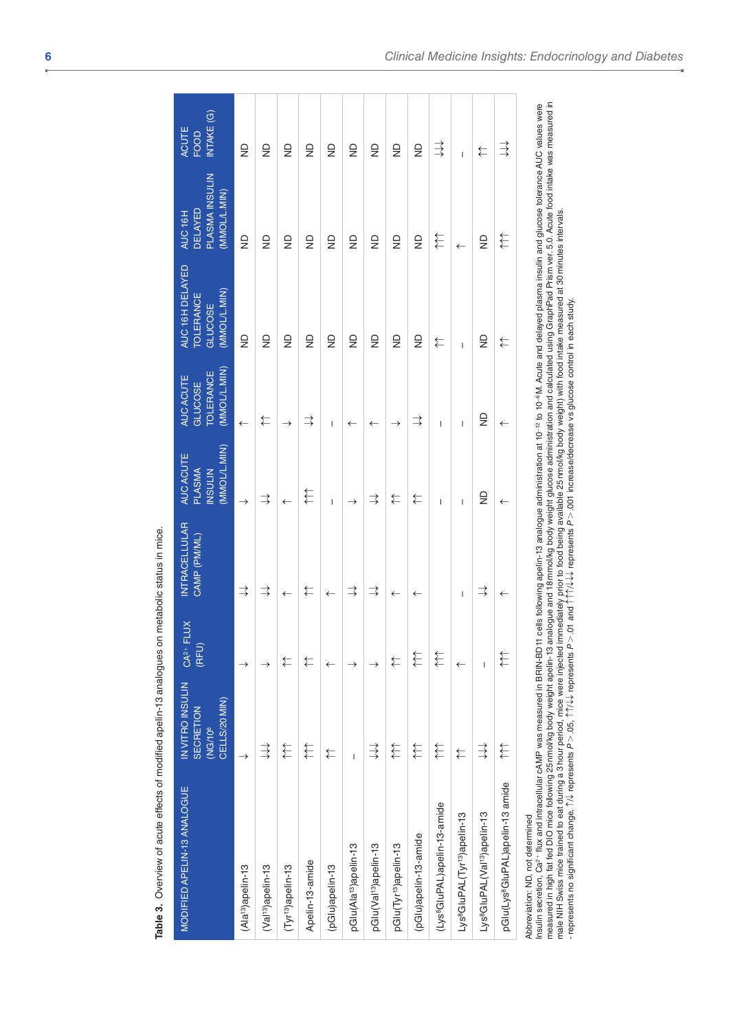| MODIFIED APELIN-13 ANALOGUE                                                                                                                                                                                                                                                                                                                                                                                                                                                                                                                                                                                           | IN VITRO INSULIN<br>CELLS/20 MIN)<br>SECRETION<br>(NG/10 <sup>6</sup> | FLUX<br>$CA2+$<br>(RFU | <b>INTRACELLULAR</b><br>CAMP (PM/ML)  | (MMOL/L.MIN)<br>AUC ACUTE<br><b>PLASMA</b><br><b>INSULIN</b> | (MMOL/L.MIN)<br><b>TOLERANCE</b><br>AUC ACUTE<br>GLUCOSE | AUC 16H DELAYED<br>(MMOL/L.MIN)<br><b>TOLERANCE</b><br><b>GLUCOSE</b>                                                                      | PLASMA INSULIN<br>(MMOL/L.MIN)<br><b>DELAYED</b><br>AUC 16H | INTAKE (G)<br><b>ACUTE</b><br><b>FOOD</b> |
|-----------------------------------------------------------------------------------------------------------------------------------------------------------------------------------------------------------------------------------------------------------------------------------------------------------------------------------------------------------------------------------------------------------------------------------------------------------------------------------------------------------------------------------------------------------------------------------------------------------------------|-----------------------------------------------------------------------|------------------------|---------------------------------------|--------------------------------------------------------------|----------------------------------------------------------|--------------------------------------------------------------------------------------------------------------------------------------------|-------------------------------------------------------------|-------------------------------------------|
| (Ala <sup>13</sup> )apelin-13                                                                                                                                                                                                                                                                                                                                                                                                                                                                                                                                                                                         | $\rightarrow$                                                         | $\rightarrow$          | $\Rightarrow$                         | $\rightarrow$                                                | $\leftarrow$                                             | $\frac{1}{2}$                                                                                                                              | $\infty$                                                    | $\frac{1}{2}$                             |
| (Val <sup>13</sup> )apelin-13                                                                                                                                                                                                                                                                                                                                                                                                                                                                                                                                                                                         | $\Rightarrow$                                                         | →                      | $\Rightarrow$                         | $\Rightarrow$                                                | ⇇                                                        | $\overline{z}$                                                                                                                             | $\frac{1}{2}$                                               | $\frac{1}{2}$                             |
| (Tyr <sup>13</sup> )apelin-13                                                                                                                                                                                                                                                                                                                                                                                                                                                                                                                                                                                         | €                                                                     | ⇇                      | $\leftarrow$                          | $\leftarrow$                                                 | $\rightarrow$                                            | $\frac{1}{2}$                                                                                                                              | $\frac{1}{2}$                                               | $\frac{1}{2}$                             |
| Apelin-13-amide                                                                                                                                                                                                                                                                                                                                                                                                                                                                                                                                                                                                       | €                                                                     | ⇇                      | $\overleftarrow{\leftarrow}$          | €                                                            | $\Rightarrow$                                            | $\frac{1}{2}$                                                                                                                              | $\frac{1}{2}$                                               | $\frac{1}{2}$                             |
| (pGlu)apelin-13                                                                                                                                                                                                                                                                                                                                                                                                                                                                                                                                                                                                       | ⇇                                                                     | $\leftarrow$           | $\leftarrow$                          | $\overline{1}$                                               | I                                                        | $\frac{1}{2}$                                                                                                                              | $\frac{1}{2}$                                               | $\frac{1}{2}$                             |
| pGlu(Ala <sup>13</sup> )apelin-13                                                                                                                                                                                                                                                                                                                                                                                                                                                                                                                                                                                     | $\overline{1}$                                                        | →                      | $\Rightarrow$                         | $\rightarrow$                                                | $\leftarrow$                                             | $\frac{\Omega}{\Sigma}$                                                                                                                    | $\overline{z}$                                              | $\frac{1}{2}$                             |
| pGlu(Val <sup>13</sup> )apelin-13                                                                                                                                                                                                                                                                                                                                                                                                                                                                                                                                                                                     | $\overrightarrow{\exists}$                                            | →                      | $\Rightarrow$                         | $\Rightarrow$                                                | $\leftarrow$                                             | $\frac{1}{2}$                                                                                                                              | $\frac{1}{2}$                                               | $\frac{\Omega}{Z}$                        |
| pGlu(Tyr <sup>13</sup> )apelin-13                                                                                                                                                                                                                                                                                                                                                                                                                                                                                                                                                                                     | €                                                                     | ⇇                      | $\leftarrow$                          | ⇇                                                            | $\rightarrow$                                            | $\frac{1}{2}$                                                                                                                              | $\frac{1}{2}$                                               | $\frac{1}{2}$                             |
| (pGlu)apelin-13-amide                                                                                                                                                                                                                                                                                                                                                                                                                                                                                                                                                                                                 | €                                                                     | €                      | $\leftarrow$                          | ⇇                                                            | $\Rightarrow$                                            | $\frac{1}{2}$                                                                                                                              | $\frac{1}{2}$                                               | $\frac{1}{2}$                             |
| (Lys <sup>e</sup> GluPAL)apelin-13-amide                                                                                                                                                                                                                                                                                                                                                                                                                                                                                                                                                                              | €                                                                     | €                      |                                       | $\overline{1}$                                               | $\overline{1}$                                           | ⇇                                                                                                                                          | 竹                                                           | ミ                                         |
| Lys <sup>8</sup> GluPAL(Tyr <sup>13</sup> )apelin-13                                                                                                                                                                                                                                                                                                                                                                                                                                                                                                                                                                  | ⇇                                                                     | $\leftarrow$           | $\begin{array}{c} \hline \end{array}$ | $\overline{1}$                                               | $\overline{1}$                                           | $\overline{1}$                                                                                                                             | $\leftarrow$                                                | $\overline{1}$                            |
| Lys <sup>o</sup> GluPAL(Val <sup>o</sup> )apelin-13                                                                                                                                                                                                                                                                                                                                                                                                                                                                                                                                                                   | $\overrightarrow{a}$                                                  | $\overline{1}$         | $\Rightarrow$                         | $\frac{D}{Z}$                                                | $\frac{\Omega}{\Sigma}$                                  | $\overline{z}$                                                                                                                             | $\overline{z}$                                              | ⇇                                         |
| pGlu(Lys <sup>8</sup> GluPAL)apelin-13 amide                                                                                                                                                                                                                                                                                                                                                                                                                                                                                                                                                                          | €                                                                     | €                      | $\leftarrow$                          | $\leftarrow$                                                 | $\leftarrow$                                             | ⇇                                                                                                                                          | €                                                           | $\Rightarrow$                             |
| Insulin secretion, Ca <sup>2+</sup> flux and intracelular cAMP was measured in BRIN-BD11 cells following apelin-13 analogue administration at 10 <sup>-12</sup> to 10 <sup>-6</sup> M. Acute and delayed plasma insulin and glucose tolerance AUC values were<br>male NIH Swiss mice trained to eat during a 3 hour period, mice were injected immediately prior to food being available 25 nmol/kg body weight) with food intake measured at 30 minutes intervals.<br>• represents no significan<br>measured in high fat fed DIO mice following 25 nmol/kg body weight apelin-13<br>Abbreviation: ND, not determined |                                                                       |                        |                                       |                                                              |                                                          | analogue and 18 mmol/kg body weight glucose administration and calculated using GraphPad Prism ver. 5.0. Acute food intake was measured in |                                                             |                                           |
|                                                                                                                                                                                                                                                                                                                                                                                                                                                                                                                                                                                                                       |                                                                       |                        |                                       |                                                              |                                                          |                                                                                                                                            |                                                             |                                           |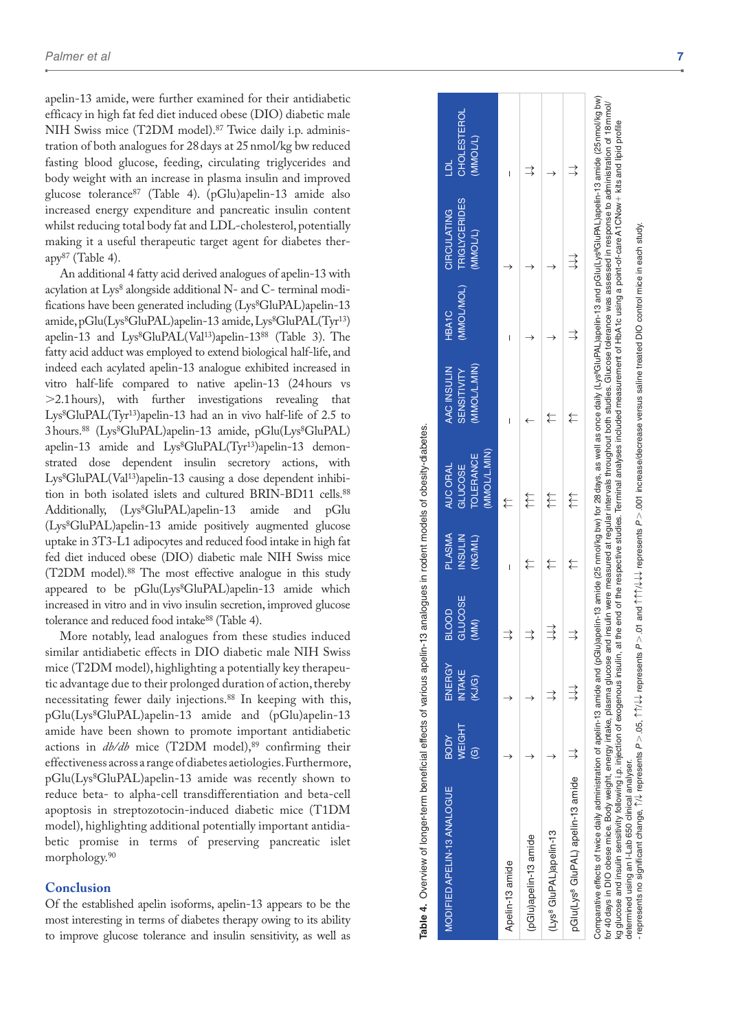apelin-13 amide, were further examined for their antidiabetic efficacy in high fat fed diet induced obese (DIO) diabetic male NIH Swiss mice (T2DM model).87 Twice daily i.p. adminis tration of both analogues for 28days at 25nmol/kg bw reduced fasting blood glucose, feeding, circulating triglycerides and body weight with an increase in plasma insulin and improved glucose tolerance87 (Table 4). (pGlu)apelin-13 amide also increased energy expenditure and pancreatic insulin content whilst reducing total body fat and LDL-cholesterol, potentially making it a useful therapeutic target agent for diabetes ther  $app<sup>87</sup>$  (Table 4).

An additional 4 fatty acid derived analogues of apelin-13 with acylation at Lys 8 alongside additional N- and C- terminal modi fications have been generated including (Lys 8GluPAL)apelin-13 amide, pGlu(Lys 8GluPAL)apelin-13 amide, Lys 8GluPAL(Tyr13 ) apelin-13 and Lys 8GluPAL(Val13)apelin-1388 (Table 3). The fatty acid adduct was employed to extend biological half-life, and indeed each acylated apelin-13 analogue exhibited increased in vitro half-life compared to native apelin-13 (24hours vs >2.1hours), with further investigations revealing that Lys 8GluPAL(Tyr13)apelin-13 had an in vivo half-life of 2.5 to 3hours.88 (Lys 8GluPAL)apelin-13 amide, pGlu(Lys 8GluPAL) apelin-13 amide and Lys 8GluPAL(Tyr13)apelin-13 demon strated dose dependent insulin secretory actions, with Lys 8GluPAL(Val13)apelin-13 causing a dose dependent inhibi tion in both isolated islets and cultured BRIN-BD11 cells.<sup>88</sup> Additionally, (Lys 8GluPAL)apelin-13 amide and pGlu (Lys 8GluPAL)apelin-13 amide positively augmented glucose uptake in 3T3-L1 adipocytes and reduced food intake in high fat fed diet induced obese (DIO) diabetic male NIH Swiss mice (T2DM model).88 The most effective analogue in this study appeared to be pGlu(Lys 8GluPAL)apelin-13 amide which increased in vitro and in vivo insulin secretion, improved glucose tolerance and reduced food intake<sup>88</sup> (Table 4).

More notably, lead analogues from these studies induced similar antidiabetic effects in DIO diabetic male NIH Swiss mice (T2DM model), highlighting a potentially key therapeu tic advantage due to their prolonged duration of action, thereby necessitating fewer daily injections.88 In keeping with this, pGlu(Lys 8GluPAL)apelin-13 amide and (pGlu)apelin-13 amide have been shown to promote important antidiabetic actions in  $db/db$  mice (T2DM model),<sup>89</sup> confirming their effectiveness across a range of diabetes aetiologies. Furthermore, pGlu(Lys 8GluPAL)apelin-13 amide was recently shown to reduce beta- to alpha-cell transdifferentiation and beta-cell apoptosis in streptozotocin-induced diabetic mice (T1DM model), highlighting additional potentially important antidia betic promise in terms of preserving pancreatic islet morphology.90

#### **Conclusion**

Of the established apelin isoforms, apelin-13 appears to be the most interesting in terms of diabetes therapy owing to its ability to improve glucose tolerance and insulin sensitivity, as well as

| <b><i>IODIFIED APELIN-13 ANALOGUE</i></b>     | <b>WEIGHT</b><br><b>RODY</b><br>$\widehat{\mathfrak{S}}$ | ENERGY<br><b>INTAKE</b><br>(KJ/G) | <b>GLUCOSE</b><br>BLOOD<br>(MM) | <b>PLASMA</b><br><b>INSULIN</b><br>(NG/ML) | (MMOL/L.MIN)<br><b>TOLERANCE</b><br><b>AUC ORAL</b><br><b>GLUCOSE</b> | (MMOL/L.MIN)<br>AAC INSULIN<br><b>SENSITIVITY</b> | (MMOLMOL)<br><b>HBA1C</b> | <b>TRIGLYCERIDES</b><br>CIRCULATING<br>(MMOL/L) | <b>CHOLESTEROL</b><br>(MMOL/L)<br>É |
|-----------------------------------------------|----------------------------------------------------------|-----------------------------------|---------------------------------|--------------------------------------------|-----------------------------------------------------------------------|---------------------------------------------------|---------------------------|-------------------------------------------------|-------------------------------------|
| Apelin-13 amide                               |                                                          |                                   |                                 | I                                          | ⇇                                                                     | I                                                 | I                         |                                                 | I                                   |
| pGlu)apelin-13 amide                          |                                                          |                                   | ⊰                               |                                            | ₹                                                                     |                                                   |                           |                                                 | ⊰                                   |
| (Lys <sup>9</sup> GluPAL)apelin-13            |                                                          |                                   | $\overrightarrow{ }$            | ₹                                          | €                                                                     |                                                   |                           |                                                 |                                     |
| pGlu(Lys <sup>8</sup> GluPAL) apelin-13 amide |                                                          | ₹                                 |                                 | ₹                                          | €                                                                     | ₹                                                 | ⊰                         | ₹                                               | ∖                                   |

**Table 4.** Overview of longer-term beneficial effects of various apelin-13 analogues in rodent models of obesity-diabetes.

able 4. Overview of longer-term beneficial effects of various apelin-13 analogues in rodent models of obesity-diabetes

Comparative effects of twice daily administration of apelin-13 amide and (pGlu)apelin-13 amide daily (Lys8GluPAL)apelin-13 and pGlu(Lys8GluPAL)apelin-13 amide (25 nmol/kg bw) ייט ווייט אווייט און אווייט און און און און און אינט אין אינט און אינט און אינט אווייט און און אינט און א אינט<br>לוסתו DIO obese mice. Body weight, energy intake, plasma glucose and insulin were measured at regular interval for 40days in DIO obese mice. Body weight, energy intake, plasma glucose and insulin were measured at regular intervals throughout both studies. Glucose tolerance was assessed in response to administration of 18mmol/ kg glucose and insulin sensitivity following i.p. injection of exogenous insulin, at the end of the respective studies. Terminal analyses included measurement of HbA1c using a point-of-care A1CNow+ kits and lipid profile kg glucose and insulin sensitivity following i.p. injection of exogenous insulin, at the end of the respective studies. Terminal analyses included measurement of HbA1c using a point-of-care A1CNow+ kits and lipid profile determined using an I-Lab 650 clinical analyser. determined using an I-Lab 650 clinical analyser. δ

- represents no significant change, ↑/↓ represents *P*>.05, ↑↑/↓↓ represents *P*>.01 and ↑↑↑/↓↓↓ represents *P*>.001 increase/decrease versus saline treated DIO control mice in each study.represents no significant change,  $\uparrow\downarrow$  represents P  $>$  .05,  $\uparrow\uparrow\downarrow\downarrow$  represents P  $>$  .01 and  $\uparrow\uparrow\uparrow\downarrow\downarrow\downarrow$  represents P  $>$  .001 increase/decrease versus saline treated DIO control mice in each study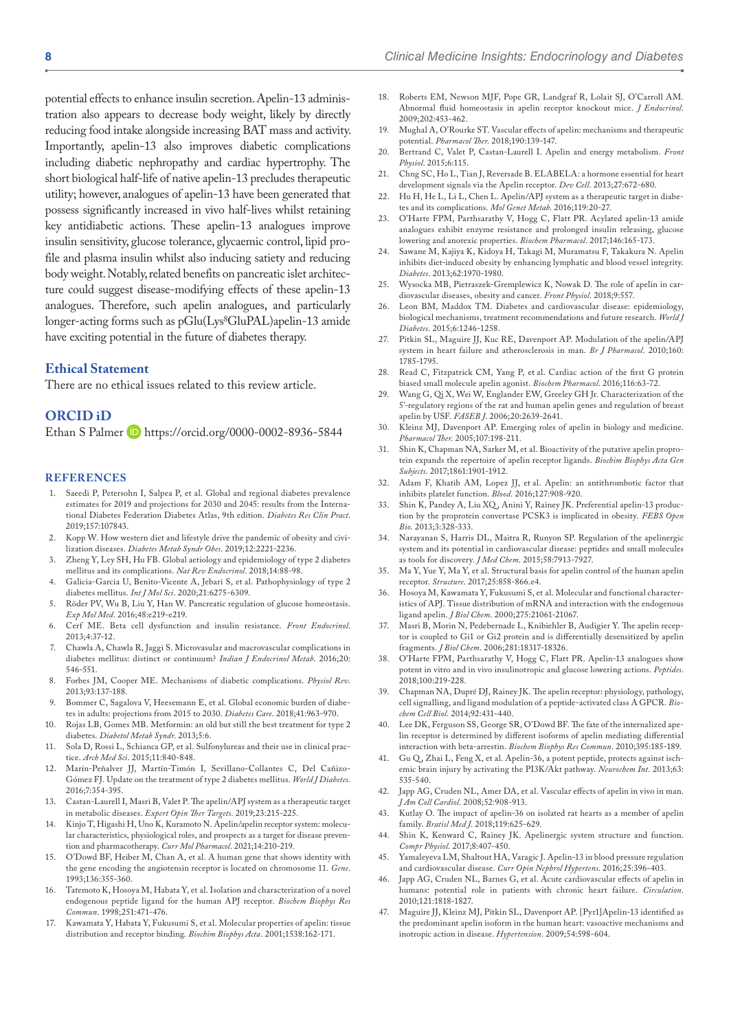potential effects to enhance insulin secretion. Apelin-13 administration also appears to decrease body weight, likely by directly reducing food intake alongside increasing BAT mass and activity. Importantly, apelin-13 also improves diabetic complications including diabetic nephropathy and cardiac hypertrophy. The short biological half-life of native apelin-13 precludes therapeutic utility; however, analogues of apelin-13 have been generated that possess significantly increased in vivo half-lives whilst retaining key antidiabetic actions. These apelin-13 analogues improve insulin sensitivity, glucose tolerance, glycaemic control, lipid profile and plasma insulin whilst also inducing satiety and reducing body weight. Notably, related benefits on pancreatic islet architecture could suggest disease-modifying effects of these apelin-13 analogues. Therefore, such apelin analogues, and particularly longer-acting forms such as pGlu(Lys<sup>8</sup>GluPAL)apelin-13 amide have exciting potential in the future of diabetes therapy.

## **Ethical Statement**

There are no ethical issues related to this review article.

## **ORCID iD**

Ethan S Palmer D <https://orcid.org/0000-0002-8936-5844>

#### **References**

- Saeedi P, Petersohn I, Salpea P, et al. Global and regional diabetes prevalence estimates for 2019 and projections for 2030 and 2045: results from the International Diabetes Federation Diabetes Atlas, 9th edition. *Diabetes Res Clin Pract*. 2019;157:107843.
- 2. Kopp W. How western diet and lifestyle drive the pandemic of obesity and civilization diseases. *Diabetes Metab Syndr Obes*. 2019;12:2221-2236.
- 3. Zheng Y, Ley SH, Hu FB. Global aetiology and epidemiology of type 2 diabetes mellitus and its complications. *Nat Rev Endocrinol*. 2018;14:88-98.
- 4. Galicia-Garcia U, Benito-Vicente A, Jebari S, et al. Pathophysiology of type 2 diabetes mellitus. *Int J Mol Sci*. 2020;21:6275-6309.
- 5. Röder PV, Wu B, Liu Y, Han W. Pancreatic regulation of glucose homeostasis. *Exp Mol Med*. 2016;48:e219-e219.
- 6. Cerf ME. Beta cell dysfunction and insulin resistance. *Front Endocrinol*. 2013;4:37-12.
- 7. Chawla A, Chawla R, Jaggi S. Microvasular and macrovascular complications in diabetes mellitus: distinct or continuum? *Indian J Endocrinol Metab*. 2016;20: 546-551.
- 8. Forbes JM, Cooper ME. Mechanisms of diabetic complications. *Physiol Rev*. 2013;93:137-188.
- 9. Bommer C, Sagalova V, Heesemann E, et al. Global economic burden of diabetes in adults: projections from 2015 to 2030. *Diabetes Care*. 2018;41:963-970.
- 10. Rojas LB, Gomes MB. Metformin: an old but still the best treatment for type 2 diabetes. *Diabetol Metab Syndr*. 2013;5:6.
- 11. Sola D, Rossi L, Schianca GP, et al. Sulfonylureas and their use in clinical practice. *Arch Med Sci*. 2015;11:840-848.
- 12. Marín-Peñalver JJ, Martín-Timón I, Sevillano-Collantes C, Del Cañizo-Gómez FJ. Update on the treatment of type 2 diabetes mellitus. *World J Diabetes*. 2016;7:354-395.
- 13. Castan-Laurell I, Masri B, Valet P. The apelin/APJ system as a therapeutic target in metabolic diseases. *Expert Opin Ther Targets*. 2019;23:215-225.
- Kinjo T, Higashi H, Uno K, Kuramoto N. Apelin/apelin receptor system: molecular characteristics, physiological roles, and prospects as a target for disease prevention and pharmacotherapy. *Curr Mol Pharmacol*. 2021;14:210-219.
- 15. O'Dowd BF, Heiber M, Chan A, et al. A human gene that shows identity with the gene encoding the angiotensin receptor is located on chromosome 11. *Gene*. 1993;136:355-360.
- 16. Tatemoto K, Hosoya M, Habata Y, et al. Isolation and characterization of a novel endogenous peptide ligand for the human APJ receptor. *Biochem Biophys Res Commun*. 1998;251:471-476.
- 17. Kawamata Y, Habata Y, Fukusumi S, et al. Molecular properties of apelin: tissue distribution and receptor binding. *Biochim Biophys Acta*. 2001;1538:162-171.
- 18. Roberts EM, Newson MJF, Pope GR, Landgraf R, Lolait SJ, O'Carroll AM. Abnormal fluid homeostasis in apelin receptor knockout mice. *J Endocrinol*. 2009;202:453-462.
- 19. Mughal A, O'Rourke ST. Vascular effects of apelin: mechanisms and therapeutic potential. *Pharmacol Ther*. 2018;190:139-147.
- 20. Bertrand C, Valet P, Castan-Laurell I. Apelin and energy metabolism. *Front Physiol*. 2015;6:115.
- 21. Chng SC, Ho L, Tian J, Reversade B. ELABELA: a hormone essential for heart development signals via the Apelin receptor. *Dev Cell*. 2013;27:672-680.
- Hu H, He L, Li L, Chen L. Apelin/APJ system as a therapeutic target in diabetes and its complications. *Mol Genet Metab*. 2016;119:20-27.
- 23. O'Harte FPM, Parthsarathy V, Hogg C, Flatt PR. Acylated apelin-13 amide analogues exhibit enzyme resistance and prolonged insulin releasing, glucose lowering and anorexic properties. *Biochem Pharmacol*. 2017;146:165-173.
- 24. Sawane M, Kajiya K, Kidoya H, Takagi M, Muramatsu F, Takakura N. Apelin inhibits diet-induced obesity by enhancing lymphatic and blood vessel integrity. *Diabetes*. 2013;62:1970-1980.
- 25. Wysocka MB, Pietraszek-Gremplewicz K, Nowak D. The role of apelin in cardiovascular diseases, obesity and cancer. *Front Physiol*. 2018;9:557.
- 26. Leon BM, Maddox TM. Diabetes and cardiovascular disease: epidemiology, biological mechanisms, treatment recommendations and future research. *World J Diabetes*. 2015;6:1246-1258.
- Pitkin SL, Maguire JJ, Kuc RE, Davenport AP. Modulation of the apelin/APJ system in heart failure and atherosclerosis in man. *Br J Pharmacol*. 2010;160: 1785-1795.
- 28. Read C, Fitzpatrick CM, Yang P, et al. Cardiac action of the first G protein biased small molecule apelin agonist. *Biochem Pharmacol*. 2016;116:63-72.
- 29. Wang G, Qi X, Wei W, Englander EW, Greeley GH Jr. Characterization of the 5'-regulatory regions of the rat and human apelin genes and regulation of breast apelin by USF. *FASEB J*. 2006;20:2639-2641.
- 30. Kleinz MJ, Davenport AP. Emerging roles of apelin in biology and medicine. *Pharmacol Ther*. 2005;107:198-211.
- 31. Shin K, Chapman NA, Sarker M, et al. Bioactivity of the putative apelin proprotein expands the repertoire of apelin receptor ligands. *Biochim Biophys Acta Gen Subjects*. 2017;1861:1901-1912.
- 32. Adam F, Khatib AM, Lopez JJ, et al. Apelin: an antithrombotic factor that inhibits platelet function. *Blood*. 2016;127:908-920.
- Shin K, Pandey A, Liu XQ, Anini Y, Rainey JK. Preferential apelin-13 production by the proprotein convertase PCSK3 is implicated in obesity. *FEBS Open Bio*. 2013;3:328-333.
- 34. Narayanan S, Harris DL, Maitra R, Runyon SP. Regulation of the apelinergic system and its potential in cardiovascular disease: peptides and small molecules as tools for discovery. *J Med Chem*. 2015;58:7913-7927.
- 35. Ma Y, Yue Y, Ma Y, et al. Structural basis for apelin control of the human apelin receptor. *Structure*. 2017;25:858-866.e4.
- 36. Hosoya M, Kawamata Y, Fukusumi S, et al. Molecular and functional characteristics of APJ. Tissue distribution of mRNA and interaction with the endogenous ligand apelin. *J Biol Chem*. 2000;275:21061-21067.
- 37. Masri B, Morin N, Pedebernade L, Knibiehler B, Audigier Y. The apelin receptor is coupled to Gi1 or Gi2 protein and is differentially desensitized by apelin fragments. *J Biol Chem*. 2006;281:18317-18326.
- 38. O'Harte FPM, Parthsarathy V, Hogg C, Flatt PR. Apelin-13 analogues show potent in vitro and in vivo insulinotropic and glucose lowering actions. *Peptides*. 2018;100:219-228.
- 39. Chapman NA, Dupré DJ, Rainey JK. The apelin receptor: physiology, pathology, cell signalling, and ligand modulation of a peptide-activated class A GPCR. *Biochem Cell Biol*. 2014;92:431-440.
- 40. Lee DK, Ferguson SS, George SR, O'Dowd BF. The fate of the internalized apelin receptor is determined by different isoforms of apelin mediating differential interaction with beta-arrestin. *Biochem Biophys Res Commun*. 2010;395:185-189.
- Gu Q, Zhai L, Feng X, et al. Apelin-36, a potent peptide, protects against ischemic brain injury by activating the PI3K/Akt pathway. *Neurochem Int*. 2013;63: 535-540.
- 42. Japp AG, Cruden NL, Amer DA, et al. Vascular effects of apelin in vivo in man. *J Am Coll Cardiol*. 2008;52:908-913.
- 43. Kutlay O. The impact of apelin-36 on isolated rat hearts as a member of apelin family. *Bratisl Med J*. 2018;119:625-629.
- 44. Shin K, Kenward C, Rainey JK. Apelinergic system structure and function. *Compr Physiol*. 2017;8:407-450.
- Yamaleyeva LM, Shaltout HA, Varagic J. Apelin-13 in blood pressure regulation and cardiovascular disease. *Curr Opin Nephrol Hypertens*. 2016;25:396-403.
- 46. Japp AG, Cruden NL, Barnes G, et al. Acute cardiovascular effects of apelin in humans: potential role in patients with chronic heart failure. *Circulation*. 2010;121:1818-1827.
- 47. Maguire JJ, Kleinz MJ, Pitkin SL, Davenport AP. [Pyr1]Apelin-13 identified as the predominant apelin isoform in the human heart: vasoactive mechanisms and inotropic action in disease. *Hypertension*. 2009;54:598-604.